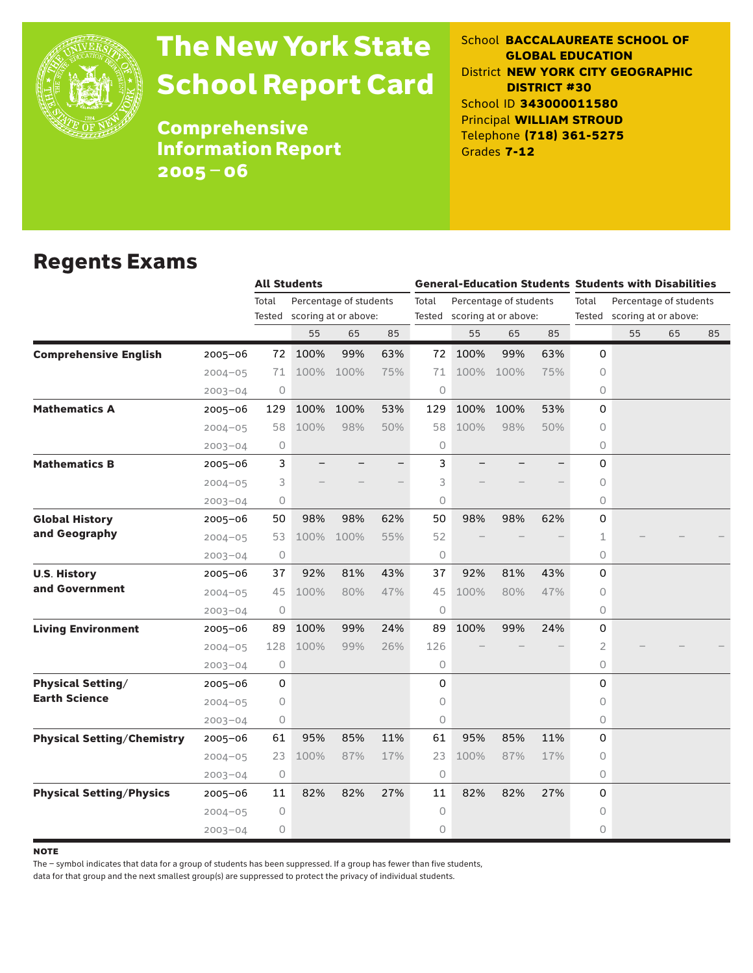

# The New York State School Report Card

School **BACCALAUREATE SCHOOL OF GLOBAL EDUCATION** District **NEW YORK CITY GEOGRAPHIC DISTRICT #30** School ID **343000011580** Principal **WILLIAM STROUD** Telephone **(718) 361-5275** Grades **7-12**

**Comprehensive** Information Report 2005–06

### Regents Exams

|                                   |             | <b>All Students</b> |      |                        |     | <b>General-Education Students Students with Disabilities</b> |                             |      |     |                                                                |    |    |    |
|-----------------------------------|-------------|---------------------|------|------------------------|-----|--------------------------------------------------------------|-----------------------------|------|-----|----------------------------------------------------------------|----|----|----|
|                                   |             | Total               |      | Percentage of students |     | Percentage of students<br>Total                              |                             |      |     | Total<br>Percentage of students<br>Tested scoring at or above: |    |    |    |
|                                   |             | Tested              |      | scoring at or above:   |     |                                                              | Tested scoring at or above: |      |     |                                                                |    |    |    |
|                                   |             |                     | 55   | 65                     | 85  |                                                              | 55                          | 65   | 85  |                                                                | 55 | 65 | 85 |
| <b>Comprehensive English</b>      | $2005 - 06$ | 72                  | 100% | 99%                    | 63% | 72                                                           | 100%                        | 99%  | 63% | $\Omega$                                                       |    |    |    |
|                                   | $2004 - 05$ | 71                  | 100% | 100%                   | 75% | 71                                                           | 100%                        | 100% | 75% | 0                                                              |    |    |    |
|                                   | $2003 - 04$ | 0                   |      |                        |     | 0                                                            |                             |      |     | 0                                                              |    |    |    |
| <b>Mathematics A</b>              | 2005-06     | 129                 | 100% | 100%                   | 53% | 129                                                          | 100%                        | 100% | 53% | 0                                                              |    |    |    |
|                                   | $2004 - 05$ | 58                  | 100% | 98%                    | 50% | 58                                                           | 100%                        | 98%  | 50% | 0                                                              |    |    |    |
|                                   | $2003 - 04$ | 0                   |      |                        |     | 0                                                            |                             |      |     | 0                                                              |    |    |    |
| <b>Mathematics B</b>              | $2005 - 06$ | 3                   |      |                        |     | 3                                                            |                             |      |     | 0                                                              |    |    |    |
|                                   | $2004 - 05$ | 3                   |      |                        |     | 3                                                            |                             |      |     | 0                                                              |    |    |    |
|                                   | $2003 - 04$ | 0                   |      |                        |     | 0                                                            |                             |      |     | 0                                                              |    |    |    |
| <b>Global History</b>             | 2005-06     | 50                  | 98%  | 98%                    | 62% | 50                                                           | 98%                         | 98%  | 62% | 0                                                              |    |    |    |
| and Geography                     | $2004 - 05$ | 53                  | 100% | 100%                   | 55% | 52                                                           |                             |      |     | $\mathbf 1$                                                    |    |    |    |
|                                   | $2003 - 04$ | 0                   |      |                        |     | 0                                                            |                             |      |     | 0                                                              |    |    |    |
| <b>U.S. History</b>               | 2005-06     | 37                  | 92%  | 81%                    | 43% | 37                                                           | 92%                         | 81%  | 43% | 0                                                              |    |    |    |
| and Government                    | $2004 - 05$ | 45                  | 100% | 80%                    | 47% | 45                                                           | 100%                        | 80%  | 47% | 0                                                              |    |    |    |
|                                   | $2003 - 04$ | 0                   |      |                        |     | 0                                                            |                             |      |     | 0                                                              |    |    |    |
| <b>Living Environment</b>         | $2005 - 06$ | 89                  | 100% | 99%                    | 24% | 89                                                           | 100%                        | 99%  | 24% | 0                                                              |    |    |    |
|                                   | $2004 - 05$ | 128                 | 100% | 99%                    | 26% | 126                                                          |                             |      |     | $\overline{2}$                                                 |    |    |    |
|                                   | $2003 - 04$ | 0                   |      |                        |     | 0                                                            |                             |      |     | 0                                                              |    |    |    |
| <b>Physical Setting/</b>          | 2005-06     | 0                   |      |                        |     | 0                                                            |                             |      |     | 0                                                              |    |    |    |
| <b>Earth Science</b>              | $2004 - 05$ | 0                   |      |                        |     | 0                                                            |                             |      |     | 0                                                              |    |    |    |
|                                   | $2003 - 04$ | 0                   |      |                        |     | 0                                                            |                             |      |     | 0                                                              |    |    |    |
| <b>Physical Setting/Chemistry</b> | 2005-06     | 61                  | 95%  | 85%                    | 11% | 61                                                           | 95%                         | 85%  | 11% | 0                                                              |    |    |    |
|                                   | $2004 - 05$ | 23                  | 100% | 87%                    | 17% | 23                                                           | 100%                        | 87%  | 17% | 0                                                              |    |    |    |
|                                   | $2003 - 04$ | 0                   |      |                        |     | 0                                                            |                             |      |     | 0                                                              |    |    |    |
| <b>Physical Setting/Physics</b>   | $2005 - 06$ | 11                  | 82%  | 82%                    | 27% | 11                                                           | 82%                         | 82%  | 27% | 0                                                              |    |    |    |
|                                   | $2004 - 05$ | 0                   |      |                        |     | 0                                                            |                             |      |     | 0                                                              |    |    |    |
|                                   | $2003 - 04$ | 0                   |      |                        |     | 0                                                            |                             |      |     | 0                                                              |    |    |    |

**NOTE** 

The – symbol indicates that data for a group of students has been suppressed. If a group has fewer than five students,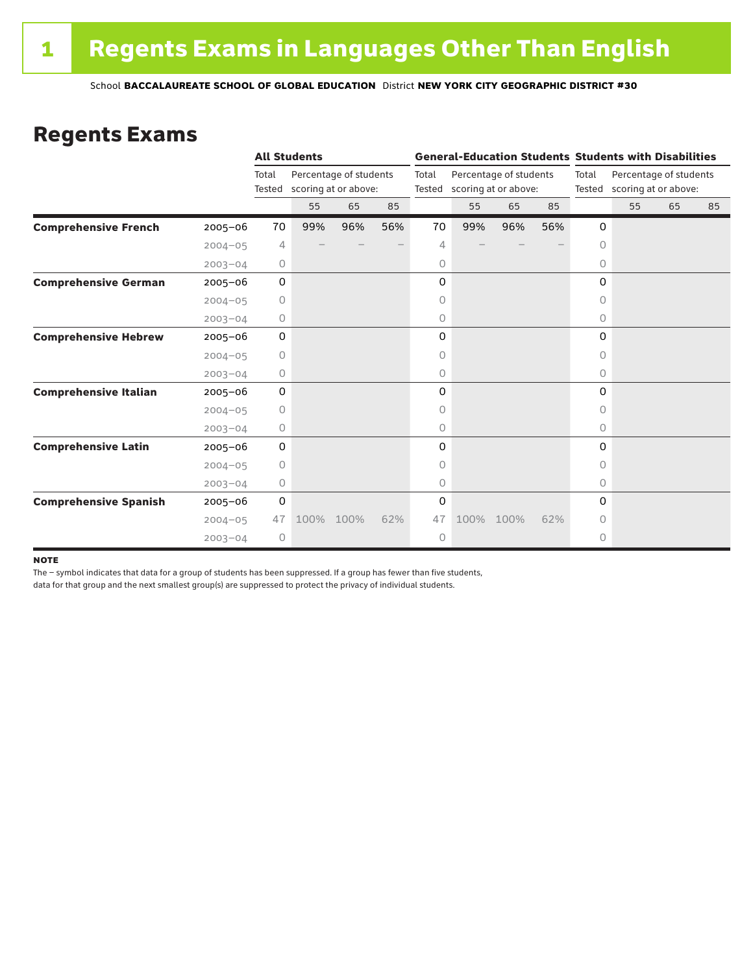### Regents Exams

|                              |             |                 | <b>All Students</b>                            |      |     |                                                                   | <b>General-Education Students Students with Disabilities</b> |      |       |                             |                        |    |    |  |
|------------------------------|-------------|-----------------|------------------------------------------------|------|-----|-------------------------------------------------------------------|--------------------------------------------------------------|------|-------|-----------------------------|------------------------|----|----|--|
|                              |             | Total<br>Tested | Percentage of students<br>scoring at or above: |      |     | Total<br>Percentage of students<br>scoring at or above:<br>Tested |                                                              |      | Total | Tested scoring at or above: | Percentage of students |    |    |  |
|                              |             |                 | 55                                             | 65   | 85  |                                                                   | 55                                                           | 65   | 85    |                             | 55                     | 65 | 85 |  |
| <b>Comprehensive French</b>  | $2005 - 06$ | 70              | 99%                                            | 96%  | 56% | 70                                                                | 99%                                                          | 96%  | 56%   | 0                           |                        |    |    |  |
|                              | $2004 - 05$ | 4               |                                                |      |     | 4                                                                 |                                                              |      |       | $\circ$                     |                        |    |    |  |
|                              | $2003 - 04$ | 0               |                                                |      |     | 0                                                                 |                                                              |      |       | 0                           |                        |    |    |  |
| <b>Comprehensive German</b>  | $2005 - 06$ | 0               |                                                |      |     | 0                                                                 |                                                              |      |       | 0                           |                        |    |    |  |
|                              | $2004 - 05$ | 0               |                                                |      |     | 0                                                                 |                                                              |      |       | $\circ$                     |                        |    |    |  |
|                              | $2003 - 04$ | 0               |                                                |      |     | 0                                                                 |                                                              |      |       | 0                           |                        |    |    |  |
| <b>Comprehensive Hebrew</b>  | $2005 - 06$ | 0               |                                                |      |     | 0                                                                 |                                                              |      |       | 0                           |                        |    |    |  |
|                              | $2004 - 05$ | $\circ$         |                                                |      |     | 0                                                                 |                                                              |      |       | 0                           |                        |    |    |  |
|                              | $2003 - 04$ | 0               |                                                |      |     | 0                                                                 |                                                              |      |       | $\circ$                     |                        |    |    |  |
| <b>Comprehensive Italian</b> | $2005 - 06$ | 0               |                                                |      |     | 0                                                                 |                                                              |      |       | 0                           |                        |    |    |  |
|                              | $2004 - 05$ | 0               |                                                |      |     | 0                                                                 |                                                              |      |       | $\Omega$                    |                        |    |    |  |
|                              | $2003 - 04$ | 0               |                                                |      |     | 0                                                                 |                                                              |      |       | 0                           |                        |    |    |  |
| <b>Comprehensive Latin</b>   | $2005 - 06$ | 0               |                                                |      |     | 0                                                                 |                                                              |      |       | 0                           |                        |    |    |  |
|                              | $2004 - 05$ | $\circ$         |                                                |      |     | 0                                                                 |                                                              |      |       | $\bigcap$                   |                        |    |    |  |
|                              | $2003 - 04$ | 0               |                                                |      |     | 0                                                                 |                                                              |      |       | 0                           |                        |    |    |  |
| <b>Comprehensive Spanish</b> | $2005 - 06$ | 0               |                                                |      |     | 0                                                                 |                                                              |      |       | 0                           |                        |    |    |  |
|                              | $2004 - 05$ | 47              | 100%                                           | 100% | 62% | 47                                                                | 100%                                                         | 100% | 62%   | 0                           |                        |    |    |  |
|                              | $2003 - 04$ | $\circ$         |                                                |      |     | 0                                                                 |                                                              |      |       | 0                           |                        |    |    |  |

#### **NOTE**

The – symbol indicates that data for a group of students has been suppressed. If a group has fewer than five students,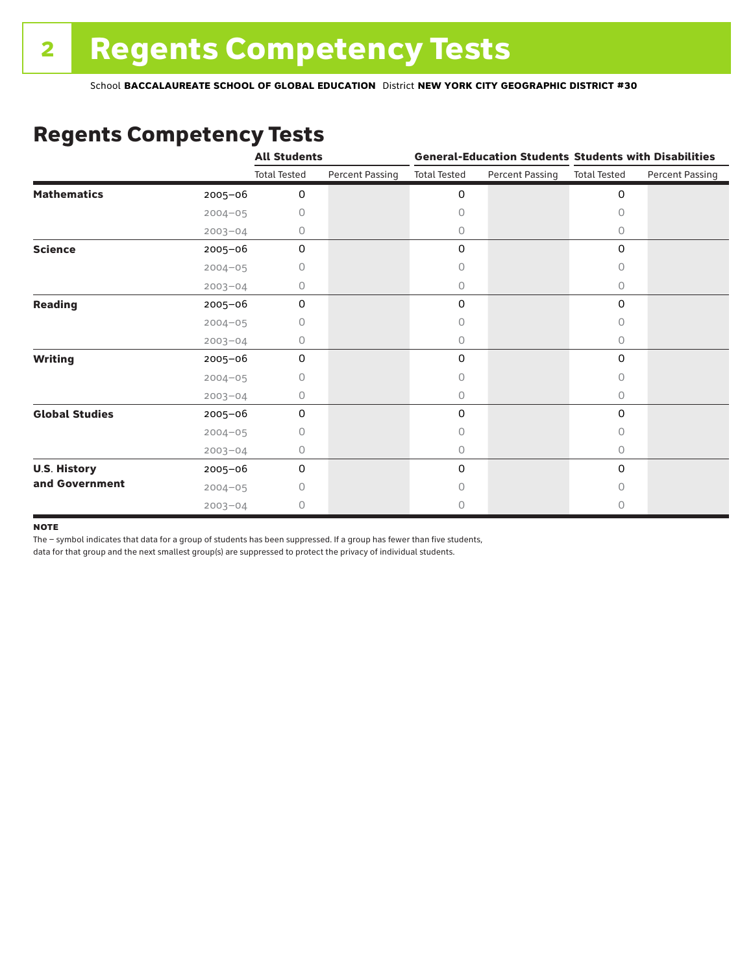## Regents Competency Tests

|                       |             | <b>All Students</b> |                        |                     |                        | <b>General-Education Students Students with Disabilities</b> |                        |  |
|-----------------------|-------------|---------------------|------------------------|---------------------|------------------------|--------------------------------------------------------------|------------------------|--|
|                       |             | <b>Total Tested</b> | <b>Percent Passing</b> | <b>Total Tested</b> | <b>Percent Passing</b> | <b>Total Tested</b>                                          | <b>Percent Passing</b> |  |
| <b>Mathematics</b>    | 2005-06     | 0                   |                        | 0                   |                        | $\mathsf{O}\xspace$                                          |                        |  |
|                       | $2004 - 05$ | 0                   |                        | 0                   |                        | $\Omega$                                                     |                        |  |
|                       | $2003 - 04$ | 0                   |                        | 0                   |                        | 0                                                            |                        |  |
| <b>Science</b>        | 2005-06     | 0                   |                        | 0                   |                        | 0                                                            |                        |  |
|                       | $2004 - 05$ | 0                   |                        | 0                   |                        | 0                                                            |                        |  |
|                       | $2003 - 04$ | 0                   |                        | 0                   |                        | 0                                                            |                        |  |
| <b>Reading</b>        | 2005-06     | 0                   |                        | 0                   |                        | $\mathbf 0$                                                  |                        |  |
|                       | $2004 - 05$ | 0                   |                        | 0                   |                        | 0                                                            |                        |  |
|                       | $2003 - 04$ | 0                   |                        | 0                   |                        | $\circ$                                                      |                        |  |
| <b>Writing</b>        | 2005-06     | $\mathbf 0$         |                        | 0                   |                        | 0                                                            |                        |  |
|                       | $2004 - 05$ | 0                   |                        | 0                   |                        | $\circ$                                                      |                        |  |
|                       | $2003 - 04$ | 0                   |                        | 0                   |                        | 0                                                            |                        |  |
| <b>Global Studies</b> | 2005-06     | $\mathbf 0$         |                        | 0                   |                        | 0                                                            |                        |  |
|                       | $2004 - 05$ | 0                   |                        | 0                   |                        | $\circ$                                                      |                        |  |
|                       | $2003 - 04$ | 0                   |                        | 0                   |                        | 0                                                            |                        |  |
| <b>U.S. History</b>   | 2005-06     | $\mathbf 0$         |                        | 0                   |                        | $\mathbf 0$                                                  |                        |  |
| and Government        | $2004 - 05$ | Ω                   |                        | Ω                   |                        | $\bigcap$                                                    |                        |  |
|                       | $2003 - 04$ | 0                   |                        | 0                   |                        | 0                                                            |                        |  |

#### **NOTE**

The – symbol indicates that data for a group of students has been suppressed. If a group has fewer than five students,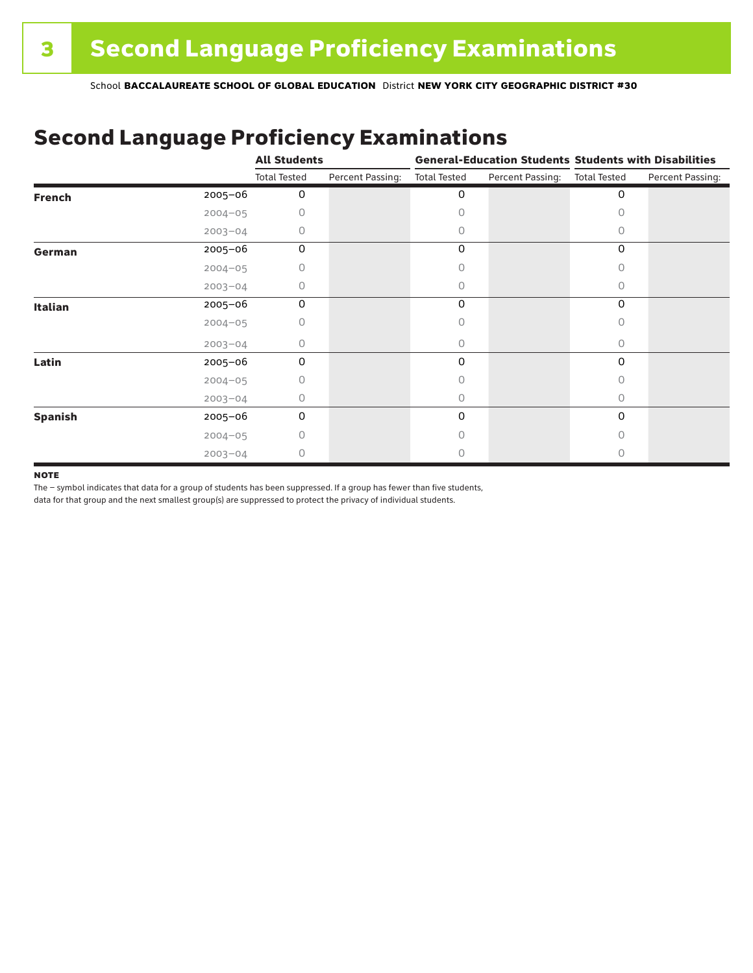### Second Language Proficiency Examinations

|                |             | <b>All Students</b> |                  | <b>General-Education Students Students with Disabilities</b> |                  |                     |                  |  |  |
|----------------|-------------|---------------------|------------------|--------------------------------------------------------------|------------------|---------------------|------------------|--|--|
|                |             | <b>Total Tested</b> | Percent Passing: | <b>Total Tested</b>                                          | Percent Passing: | <b>Total Tested</b> | Percent Passing: |  |  |
| <b>French</b>  | $2005 - 06$ | 0                   |                  | 0                                                            |                  | 0                   |                  |  |  |
|                | $2004 - 05$ |                     |                  |                                                              |                  | Ω                   |                  |  |  |
|                | $2003 - 04$ | Ω                   |                  | 0                                                            |                  | 0                   |                  |  |  |
| German         | 2005-06     | 0                   |                  | 0                                                            |                  | 0                   |                  |  |  |
|                | $2004 - 05$ | Ω                   |                  |                                                              |                  | O                   |                  |  |  |
|                | $2003 - 04$ | 0                   |                  | 0                                                            |                  | 0                   |                  |  |  |
| <b>Italian</b> | 2005-06     | 0                   |                  | 0                                                            |                  | 0                   |                  |  |  |
|                | $2004 - 05$ | Ω                   |                  | Ω                                                            |                  | O                   |                  |  |  |
|                | $2003 - 04$ | 0                   |                  | 0                                                            |                  | $\Omega$            |                  |  |  |
| Latin          | 2005-06     | 0                   |                  | 0                                                            |                  | $\Omega$            |                  |  |  |
|                | $2004 - 05$ |                     |                  |                                                              |                  | U                   |                  |  |  |
|                | $2003 - 04$ | Ω                   |                  | 0                                                            |                  | $\bigcap$           |                  |  |  |
| <b>Spanish</b> | 2005-06     | 0                   |                  | 0                                                            |                  | 0                   |                  |  |  |
|                | $2004 - 05$ | Ω                   |                  | Π                                                            |                  | $\Omega$            |                  |  |  |
|                | $2003 - 04$ | Ω                   |                  |                                                              |                  | Ω                   |                  |  |  |

#### **NOTE**

The – symbol indicates that data for a group of students has been suppressed. If a group has fewer than five students,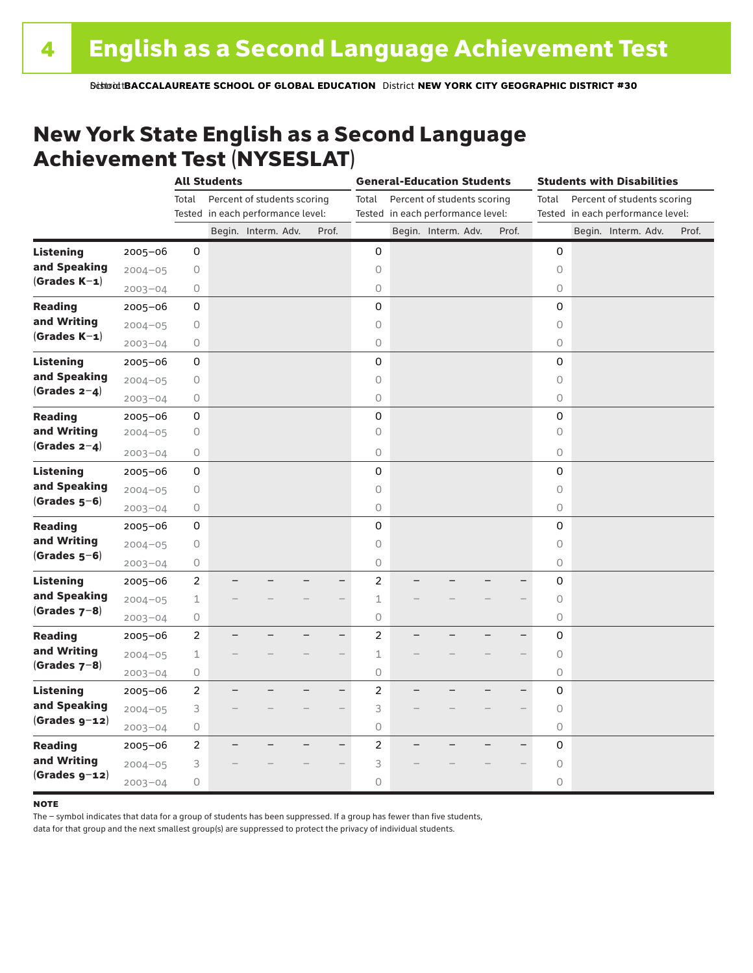### New York State English as a Second Language Achievement Test (NYSESLAT)

|                  |             |                | <b>All Students</b> |                                   |                          | <b>General-Education Students</b> |  |                                   | <b>Students with Disabilities</b> |                     |  |                                   |  |       |
|------------------|-------------|----------------|---------------------|-----------------------------------|--------------------------|-----------------------------------|--|-----------------------------------|-----------------------------------|---------------------|--|-----------------------------------|--|-------|
|                  |             | Total          |                     | Percent of students scoring       |                          | Total                             |  | Percent of students scoring       |                                   | Total               |  | Percent of students scoring       |  |       |
|                  |             |                |                     | Tested in each performance level: |                          |                                   |  | Tested in each performance level: |                                   |                     |  | Tested in each performance level: |  |       |
|                  |             |                |                     | Begin. Interm. Adv.               | Prof.                    |                                   |  | Begin. Interm. Adv.               | Prof.                             |                     |  | Begin. Interm. Adv.               |  | Prof. |
| <b>Listening</b> | 2005-06     | 0              |                     |                                   |                          | 0                                 |  |                                   |                                   | 0                   |  |                                   |  |       |
| and Speaking     | $2004 - 05$ | 0              |                     |                                   |                          | 0                                 |  |                                   |                                   | $\Omega$            |  |                                   |  |       |
| $(Grades K-1)$   | $2003 - 04$ | 0              |                     |                                   |                          | $\bigcirc$                        |  |                                   |                                   | $\circlearrowright$ |  |                                   |  |       |
| <b>Reading</b>   | $2005 - 06$ | 0              |                     |                                   |                          | 0                                 |  |                                   |                                   | $\mathbf 0$         |  |                                   |  |       |
| and Writing      | $2004 - 05$ | $\bigcirc$     |                     |                                   |                          | $\circ$                           |  |                                   |                                   | $\circ$             |  |                                   |  |       |
| $(Grades K-1)$   | $2003 - 04$ | $\bigcirc$     |                     |                                   |                          | $\circ$                           |  |                                   |                                   | 0                   |  |                                   |  |       |
| <b>Listening</b> | 2005-06     | 0              |                     |                                   |                          | 0                                 |  |                                   |                                   | $\mathsf 0$         |  |                                   |  |       |
| and Speaking     | $2004 - 05$ | $\bigcirc$     |                     |                                   |                          | $\circ$                           |  |                                   |                                   | $\circlearrowright$ |  |                                   |  |       |
| (Grades $2-4$ )  | $2003 - 04$ | $\bigcirc$     |                     |                                   |                          | $\circ$                           |  |                                   |                                   | $\circ$             |  |                                   |  |       |
| <b>Reading</b>   | 2005-06     | 0              |                     |                                   |                          | 0                                 |  |                                   |                                   | 0                   |  |                                   |  |       |
| and Writing      | $2004 - 05$ | $\bigcirc$     |                     |                                   |                          | $\circ$                           |  |                                   |                                   | $\circ$             |  |                                   |  |       |
| $(Grades 2-4)$   | $2003 - 04$ | 0              |                     |                                   |                          | $\circ$                           |  |                                   |                                   | $\circ$             |  |                                   |  |       |
| <b>Listening</b> | $2005 - 06$ | 0              |                     |                                   |                          | 0                                 |  |                                   |                                   | 0                   |  |                                   |  |       |
| and Speaking     | $2004 - 05$ | 0              |                     |                                   |                          | $\circ$                           |  |                                   |                                   | $\circlearrowright$ |  |                                   |  |       |
| $(Grades 5-6)$   | $2003 - 04$ | $\bigcirc$     |                     |                                   |                          | $\circ$                           |  |                                   |                                   | $\circlearrowright$ |  |                                   |  |       |
| <b>Reading</b>   | $2005 - 06$ | $\mathsf 0$    |                     |                                   |                          | 0                                 |  |                                   |                                   | $\mathsf 0$         |  |                                   |  |       |
| and Writing      | $2004 - 05$ | 0              |                     |                                   |                          | $\circ$                           |  |                                   |                                   | $\circ$             |  |                                   |  |       |
| $(Grades 5-6)$   | $2003 - 04$ | 0              |                     |                                   |                          | $\bigcirc$                        |  |                                   |                                   | $\circlearrowright$ |  |                                   |  |       |
| <b>Listening</b> | 2005-06     | $\overline{c}$ |                     |                                   |                          | $\overline{c}$                    |  |                                   |                                   | 0                   |  |                                   |  |       |
| and Speaking     | $2004 - 05$ | 1              |                     |                                   |                          | $\mathbf{1}$                      |  |                                   |                                   | $\circ$             |  |                                   |  |       |
| $(Grades 7-8)$   | $2003 - 04$ | 0              |                     |                                   |                          | $\circ$                           |  |                                   |                                   | 0                   |  |                                   |  |       |
| <b>Reading</b>   | $2005 - 06$ | 2              |                     |                                   | $\overline{\phantom{0}}$ | $\overline{c}$                    |  |                                   |                                   | 0                   |  |                                   |  |       |
| and Writing      | $2004 - 05$ | 1              |                     |                                   |                          | 1                                 |  |                                   |                                   | $\circlearrowright$ |  |                                   |  |       |
| $(Grades 7-8)$   | $2003 - 04$ | 0              |                     |                                   |                          | $\bigcirc$                        |  |                                   |                                   | $\circlearrowright$ |  |                                   |  |       |
| <b>Listening</b> | $2005 - 06$ | $\overline{2}$ |                     |                                   | $\overline{\phantom{0}}$ | $\overline{c}$                    |  |                                   |                                   | 0                   |  |                                   |  |       |
| and Speaking     | $2004 - 05$ | 3              |                     |                                   |                          | 3                                 |  |                                   |                                   | $\circlearrowright$ |  |                                   |  |       |
| $(Grades g-12)$  | $2003 - 04$ | $\bigcirc$     |                     |                                   |                          | $\circ$                           |  |                                   |                                   | $\circlearrowright$ |  |                                   |  |       |
| <b>Reading</b>   | 2005-06     | $\overline{c}$ |                     |                                   | $\overline{\phantom{0}}$ | $\overline{c}$                    |  |                                   |                                   | $\mathsf 0$         |  |                                   |  |       |
| and Writing      | $2004 - 05$ | 3              |                     |                                   |                          | 3                                 |  |                                   |                                   | $\bigcirc$          |  |                                   |  |       |
| $(Grades g-z)$   | $2003 - 04$ | 0              |                     |                                   |                          | 0                                 |  |                                   |                                   | 0                   |  |                                   |  |       |

#### **NOTE**

The – symbol indicates that data for a group of students has been suppressed. If a group has fewer than five students,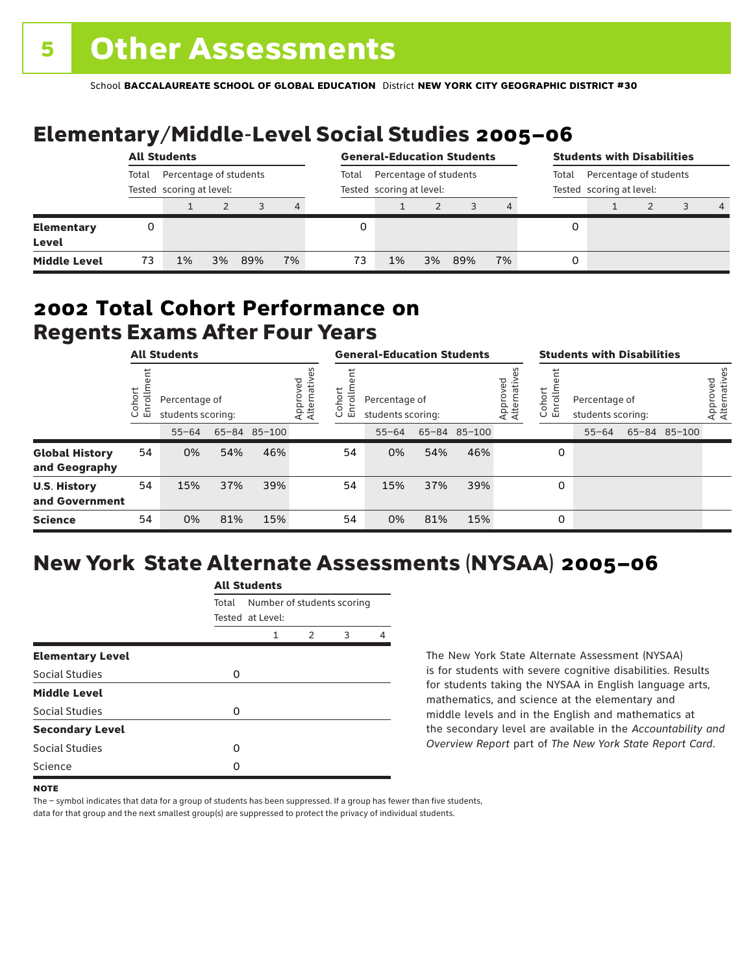# Elementary/Middle-Level Social Studies 2005–06

|                                   | <b>All Students</b>                                         |    |    |       |                                                    |    | <b>General-Education Students</b> |    |     |                                                             |   | <b>Students with Disabilities</b> |  |  |                |  |
|-----------------------------------|-------------------------------------------------------------|----|----|-------|----------------------------------------------------|----|-----------------------------------|----|-----|-------------------------------------------------------------|---|-----------------------------------|--|--|----------------|--|
|                                   | Percentage of students<br>Total<br>Tested scoring at level: |    |    | Total | Percentage of students<br>Tested scoring at level: |    |                                   |    |     | Percentage of students<br>Total<br>Tested scoring at level: |   |                                   |  |  |                |  |
|                                   |                                                             |    |    |       | 4                                                  |    |                                   |    |     | 4                                                           |   |                                   |  |  | $\overline{4}$ |  |
| <b>Elementary</b><br><b>Level</b> | 0                                                           |    |    |       |                                                    |    |                                   |    |     |                                                             | 0 |                                   |  |  |                |  |
| <b>Middle Level</b>               | 73                                                          | 1% | 3% | 89%   | 7%                                                 | 73 | 1%                                | 3% | 89% | 7%                                                          | 0 |                                   |  |  |                |  |

### Regents Exams After Four Years 2002 **Total Cohort Performance on**

| <b>All Students</b>                    |                   |           |                                                    | <b>General-Education Students</b> |  |                                                           |                                    |     | <b>Students with Disabilities</b> |                               |                                                         |           |  |              |                          |
|----------------------------------------|-------------------|-----------|----------------------------------------------------|-----------------------------------|--|-----------------------------------------------------------|------------------------------------|-----|-----------------------------------|-------------------------------|---------------------------------------------------------|-----------|--|--------------|--------------------------|
|                                        | ohort<br>o<br>ប ក |           | Percentage of<br>students scoring:<br>65-84 85-100 |                                   |  | Approved<br>Alternative<br>hort<br>5<br>$\circ$<br>띧<br>Ű | Percentage of<br>students scoring: |     |                                   | ved<br>Approved<br>Alternativ | Cohort<br>Enrollm<br>Percentage of<br>students scoring: |           |  |              | Approved<br>Alternatives |
|                                        |                   | $55 - 64$ |                                                    |                                   |  |                                                           | $55 - 64$                          |     | 65-84 85-100                      |                               |                                                         | $55 - 64$ |  | 65-84 85-100 |                          |
| <b>Global History</b><br>and Geography | 54                | 0%        | 54%                                                | 46%                               |  | 54                                                        | 0%                                 | 54% | 46%                               |                               | 0                                                       |           |  |              |                          |
| <b>U.S. History</b><br>and Government  | 54                | 15%       | 37%                                                | 39%                               |  | 54                                                        | 15%                                | 37% | 39%                               |                               | 0                                                       |           |  |              |                          |
| <b>Science</b>                         | 54                | 0%        | 81%                                                | 15%                               |  | 54                                                        | 0%                                 | 81% | 15%                               |                               | 0                                                       |           |  |              |                          |

## New York State Alternate Assessments (NYSAA) 2005–06

|                         |       | <b>All Students</b>             |  |  |   |  |  |  |  |  |
|-------------------------|-------|---------------------------------|--|--|---|--|--|--|--|--|
|                         | Total | Number of students scoring      |  |  |   |  |  |  |  |  |
|                         |       | Tested at Level:<br>2<br>1<br>3 |  |  |   |  |  |  |  |  |
| <b>Elementary Level</b> |       |                                 |  |  | 4 |  |  |  |  |  |
| Social Studies          | O     |                                 |  |  |   |  |  |  |  |  |
| <b>Middle Level</b>     |       |                                 |  |  |   |  |  |  |  |  |
| Social Studies          | O     |                                 |  |  |   |  |  |  |  |  |
| <b>Secondary Level</b>  |       |                                 |  |  |   |  |  |  |  |  |
| Social Studies          | ი     |                                 |  |  |   |  |  |  |  |  |
| Science                 | Ω     |                                 |  |  |   |  |  |  |  |  |
|                         |       |                                 |  |  |   |  |  |  |  |  |

The New York State Alternate Assessment (NYSAA) is for students with severe cognitive disabilities. Results for students taking the NYSAA in English language arts, mathematics, and science at the elementary and middle levels and in the English and mathematics at the secondary level are available in the *Accountability and Overview Report* part of *The New York State Report Card*.

The – symbol indicates that data for a group of students has been suppressed. If a group has fewer than five students,

**NOTE**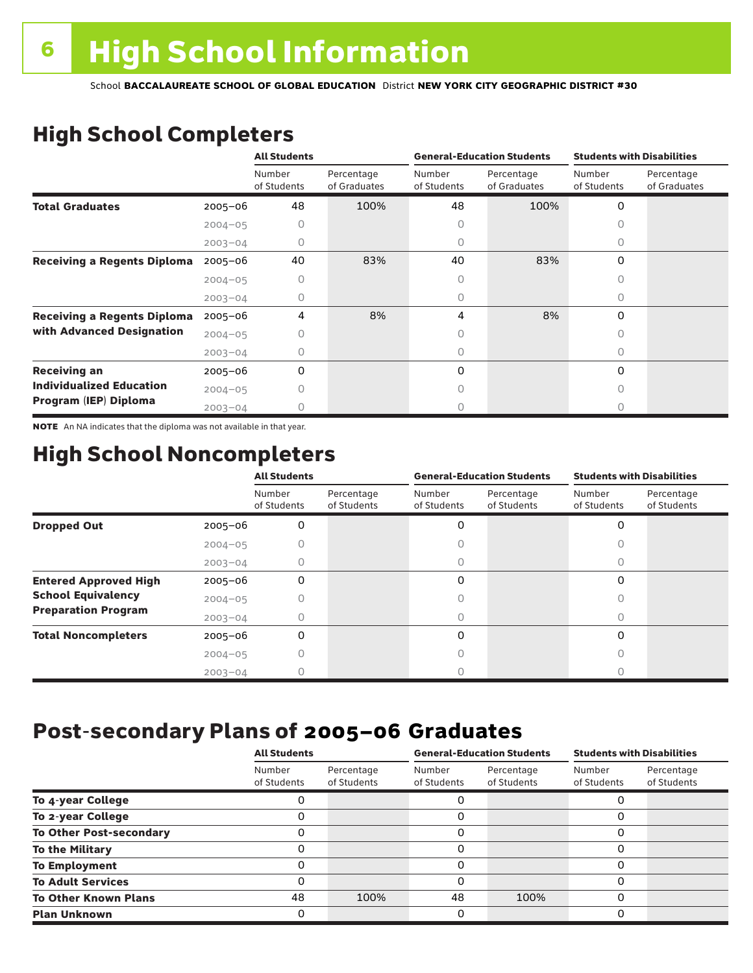# High School Completers

|                                    |             | <b>All Students</b>   |                            |                       | <b>General-Education Students</b> | <b>Students with Disabilities</b> |                            |  |
|------------------------------------|-------------|-----------------------|----------------------------|-----------------------|-----------------------------------|-----------------------------------|----------------------------|--|
|                                    |             | Number<br>of Students | Percentage<br>of Graduates | Number<br>of Students | Percentage<br>of Graduates        | Number<br>of Students             | Percentage<br>of Graduates |  |
| <b>Total Graduates</b>             | $2005 - 06$ | 48                    | 100%                       | 48                    | 100%                              | 0                                 |                            |  |
|                                    | $2004 - 05$ |                       |                            | 0                     |                                   |                                   |                            |  |
|                                    | $2003 - 04$ | 0                     |                            | 0                     |                                   | 0                                 |                            |  |
| <b>Receiving a Regents Diploma</b> | $2005 - 06$ | 40                    | 83%                        | 40                    | 83%                               | 0                                 |                            |  |
|                                    | $2004 - 05$ | Ω                     |                            | 0                     |                                   | U                                 |                            |  |
|                                    | $2003 - 04$ | O                     |                            | 0                     |                                   | 0                                 |                            |  |
| <b>Receiving a Regents Diploma</b> | $2005 - 06$ | 4                     | 8%                         | 4                     | 8%                                | 0                                 |                            |  |
| with Advanced Designation          | $2004 - 05$ |                       |                            |                       |                                   | O                                 |                            |  |
|                                    | $2003 - 04$ |                       |                            | 0                     |                                   | 0                                 |                            |  |
| <b>Receiving an</b>                | $2005 - 06$ | 0                     |                            | 0                     |                                   | 0                                 |                            |  |
| <b>Individualized Education</b>    | $2004 - 05$ |                       |                            | Ω                     |                                   | 0                                 |                            |  |
| Program (IEP) Diploma              | $2003 - 04$ |                       |                            | Ω                     |                                   | Ω                                 |                            |  |

NOTE An NA indicates that the diploma was not available in that year.

### High School Noncompleters

|                              |             | <b>All Students</b>   |                           |                       | <b>General-Education Students</b> | <b>Students with Disabilities</b> |                           |  |
|------------------------------|-------------|-----------------------|---------------------------|-----------------------|-----------------------------------|-----------------------------------|---------------------------|--|
|                              |             | Number<br>of Students | Percentage<br>of Students | Number<br>of Students | Percentage<br>of Students         | Number<br>of Students             | Percentage<br>of Students |  |
| <b>Dropped Out</b>           | $2005 - 06$ | 0                     |                           | 0                     |                                   | $\Omega$                          |                           |  |
|                              | $2004 - 05$ |                       |                           |                       |                                   |                                   |                           |  |
|                              | $2003 - 04$ |                       |                           | U                     |                                   | 0                                 |                           |  |
| <b>Entered Approved High</b> | $2005 - 06$ | 0                     |                           | 0                     |                                   | $\Omega$                          |                           |  |
| <b>School Equivalency</b>    | $2004 - 05$ | Ω                     |                           | U                     |                                   | 0                                 |                           |  |
| <b>Preparation Program</b>   | $2003 - 04$ | 0                     |                           | 0                     |                                   | 0                                 |                           |  |
| <b>Total Noncompleters</b>   | $2005 - 06$ | 0                     |                           | 0                     |                                   | $\Omega$                          |                           |  |
|                              | $2004 - 05$ | 0                     |                           | 0                     |                                   | 0                                 |                           |  |
|                              | $2003 - 04$ |                       |                           |                       |                                   |                                   |                           |  |

### Post-secondary Plans of 2005–06 **Graduates**

|                                | <b>All Students</b>   |                           |                       | <b>General-Education Students</b> | <b>Students with Disabilities</b> |                           |  |
|--------------------------------|-----------------------|---------------------------|-----------------------|-----------------------------------|-----------------------------------|---------------------------|--|
|                                | Number<br>of Students | Percentage<br>of Students | Number<br>of Students | Percentage<br>of Students         | Number<br>of Students             | Percentage<br>of Students |  |
| To 4-year College              |                       |                           |                       |                                   | Ω                                 |                           |  |
| To 2-year College              |                       |                           | 0                     |                                   | 0                                 |                           |  |
| <b>To Other Post-secondary</b> |                       |                           | 0                     |                                   | 0                                 |                           |  |
| <b>To the Military</b>         |                       |                           | 0                     |                                   | 0                                 |                           |  |
| <b>To Employment</b>           | Ω                     |                           | 0                     |                                   | 0                                 |                           |  |
| <b>To Adult Services</b>       |                       |                           | O                     |                                   | 0                                 |                           |  |
| <b>To Other Known Plans</b>    | 48                    | 100%                      | 48                    | 100%                              | 0                                 |                           |  |
| <b>Plan Unknown</b>            |                       |                           | 0                     |                                   | 0                                 |                           |  |